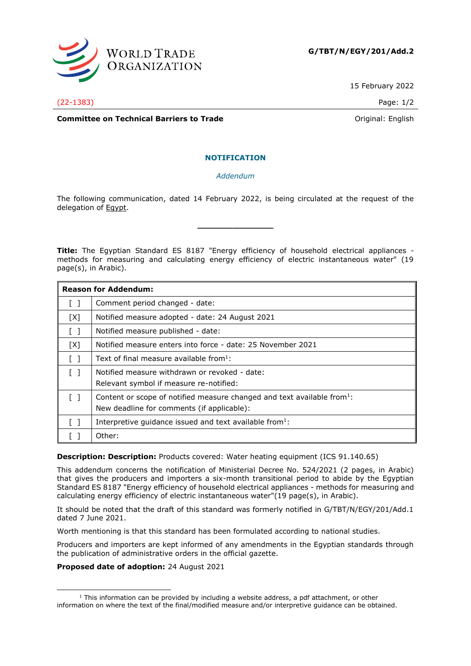

15 February 2022

(22-1383) Page: 1/2

**Committee on Technical Barriers to Trade Committee on Technical Barriers to Trade Original: English** 

## **NOTIFICATION**

*Addendum*

The following communication, dated 14 February 2022, is being circulated at the request of the delegation of Egypt.

<span id="page-0-0"></span>**\_\_\_\_\_\_\_\_\_\_\_\_\_\_\_**

**Title:** The Egyptian Standard ES 8187 "Energy efficiency of household electrical appliances methods for measuring and calculating energy efficiency of electric instantaneous water" (19 page(s), in Arabic).

| <b>Reason for Addendum:</b>       |                                                                                     |
|-----------------------------------|-------------------------------------------------------------------------------------|
| $\lceil$ $\rceil$                 | Comment period changed - date:                                                      |
| [X]                               | Notified measure adopted - date: 24 August 2021                                     |
| $\begin{bmatrix} 1 \end{bmatrix}$ | Notified measure published - date:                                                  |
| [X]                               | Notified measure enters into force - date: 25 November 2021                         |
| $\lceil$ 1                        | Text of final measure available from $1$ :                                          |
| $\lceil$ $\rceil$                 | Notified measure withdrawn or revoked - date:                                       |
|                                   | Relevant symbol if measure re-notified:                                             |
| $\lceil$ $\rceil$                 | Content or scope of notified measure changed and text available from <sup>1</sup> : |
|                                   | New deadline for comments (if applicable):                                          |
| $\Box$                            | Interpretive guidance issued and text available from <sup>1</sup> :                 |
|                                   | Other:                                                                              |

**Description: Description:** Products covered: Water heating equipment (ICS 91.140.65)

This addendum concerns the notification of Ministerial Decree No. 524/2021 (2 pages, in Arabic) that gives the producers and importers a six-month transitional period to abide by the Egyptian Standard ES 8187 "Energy efficiency of household electrical appliances - methods for measuring and calculating energy efficiency of electric instantaneous water"(19 page(s), in Arabic).

It should be noted that the draft of this standard was formerly notified in G/TBT/N/EGY/201/Add.1 dated 7 June 2021.

Worth mentioning is that this standard has been formulated according to national studies.

Producers and importers are kept informed of any amendments in the Egyptian standards through the publication of administrative orders in the official gazette.

## **Proposed date of adoption:** 24 August 2021

 $1$  This information can be provided by including a website address, a pdf attachment, or other information on where the text of the final/modified measure and/or interpretive guidance can be obtained.